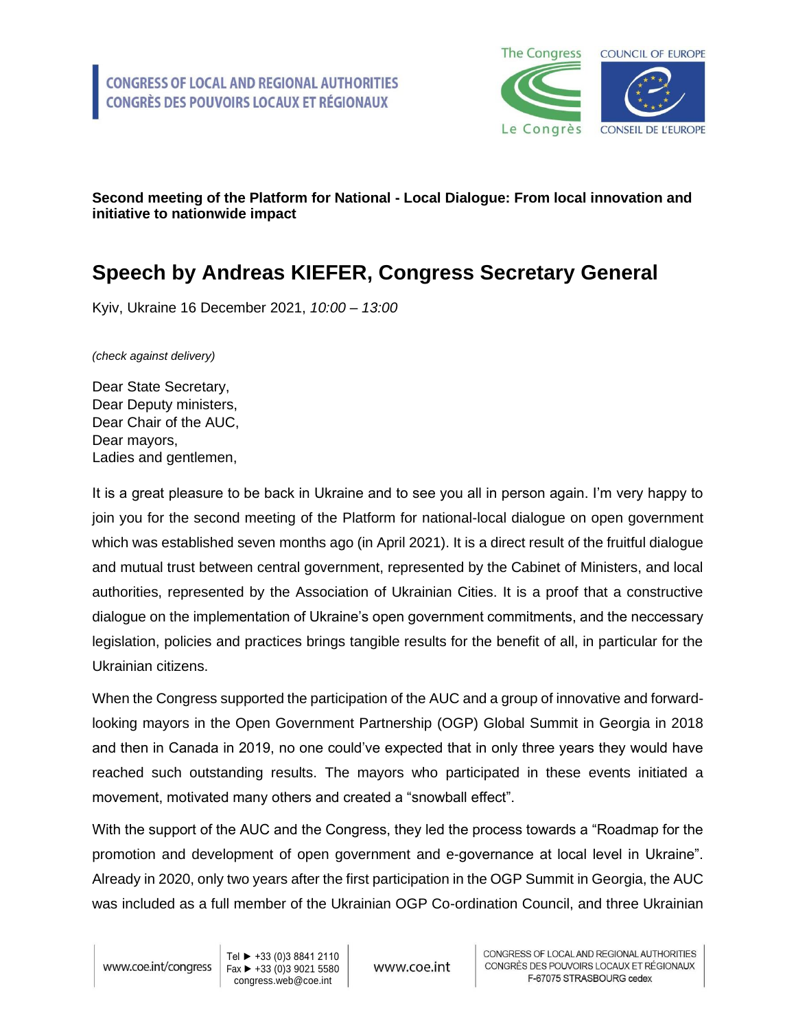

## **Second meeting of the Platform for National - Local Dialogue: From local innovation and initiative to nationwide impact**

## **Speech by Andreas KIEFER, Congress Secretary General**

Kyiv, Ukraine 16 December 2021, *10:00 – 13:00*

*(check against delivery)*

Dear State Secretary, Dear Deputy ministers, Dear Chair of the AUC, Dear mayors, Ladies and gentlemen,

It is a great pleasure to be back in Ukraine and to see you all in person again. I'm very happy to join you for the second meeting of the Platform for national-local dialogue on open government which was established seven months ago (in April 2021). It is a direct result of the fruitful dialogue and mutual trust between central government, represented by the Cabinet of Ministers, and local authorities, represented by the Association of Ukrainian Cities. It is a proof that a constructive dialogue on the implementation of Ukraine's open government commitments, and the neccessary legislation, policies and practices brings tangible results for the benefit of all, in particular for the Ukrainian citizens.

When the Congress supported the participation of the AUC and a group of innovative and forwardlooking mayors in the Open Government Partnership (OGP) Global Summit in Georgia in 2018 and then in Canada in 2019, no one could've expected that in only three years they would have reached such outstanding results. The mayors who participated in these events initiated a movement, motivated many others and created a "snowball effect".

With the support of the AUC and the Congress, they led the process towards a "Roadmap for the promotion and development of open government and e-governance at local level in Ukraine". Already in 2020, only two years after the first participation in the OGP Summit in Georgia, the AUC was included as a full member of the Ukrainian OGP Co-ordination Council, and three Ukrainian

Tel ► +33 (0)3 8841 2110 Fax ► +33 (0)3 9021 5580 congress.web@coe.int

www.coe.int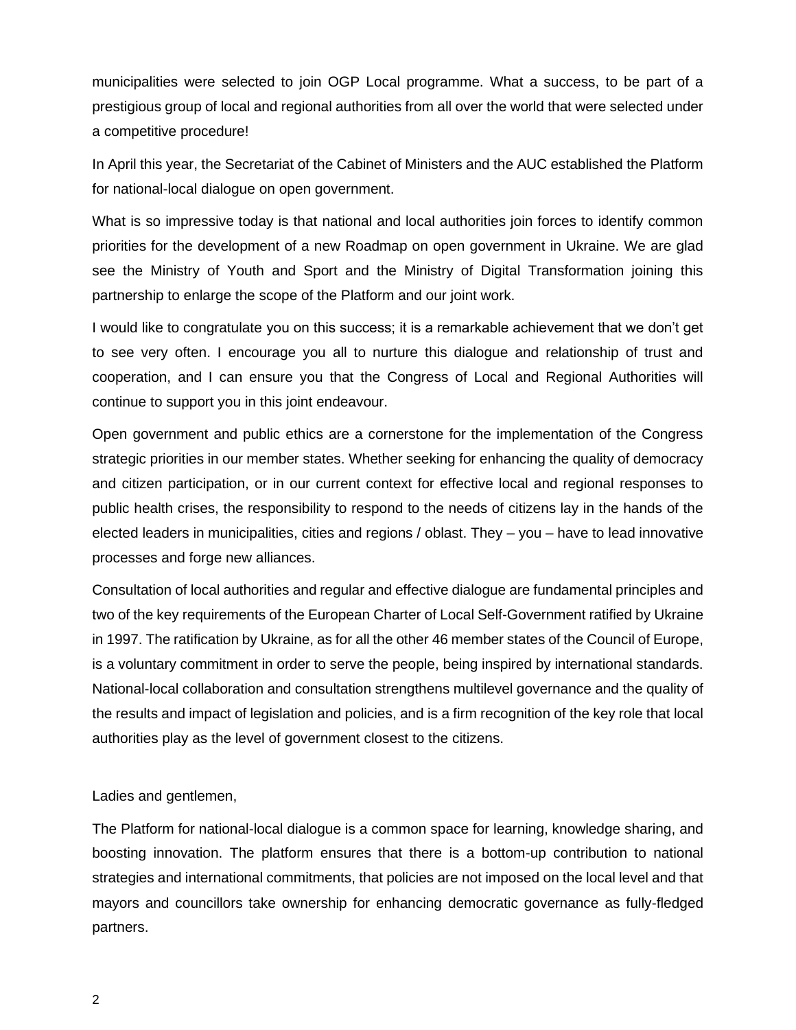municipalities were selected to join OGP Local programme. What a success, to be part of a prestigious group of local and regional authorities from all over the world that were selected under a competitive procedure!

In April this year, the Secretariat of the Cabinet of Ministers and the AUC established the Platform for national-local dialogue on open government.

What is so impressive today is that national and local authorities join forces to identify common priorities for the development of a new Roadmap on open government in Ukraine. We are glad see the Ministry of Youth and Sport and the Ministry of Digital Transformation joining this partnership to enlarge the scope of the Platform and our joint work.

I would like to congratulate you on this success; it is a remarkable achievement that we don't get to see very often. I encourage you all to nurture this dialogue and relationship of trust and cooperation, and I can ensure you that the Congress of Local and Regional Authorities will continue to support you in this joint endeavour.

Open government and public ethics are a cornerstone for the implementation of the Congress strategic priorities in our member states. Whether seeking for enhancing the quality of democracy and citizen participation, or in our current context for effective local and regional responses to public health crises, the responsibility to respond to the needs of citizens lay in the hands of the elected leaders in municipalities, cities and regions / oblast. They – you – have to lead innovative processes and forge new alliances.

Consultation of local authorities and regular and effective dialogue are fundamental principles and two of the key requirements of the European Charter of Local Self-Government ratified by Ukraine in 1997. The ratification by Ukraine, as for all the other 46 member states of the Council of Europe, is a voluntary commitment in order to serve the people, being inspired by international standards. National-local collaboration and consultation strengthens multilevel governance and the quality of the results and impact of legislation and policies, and is a firm recognition of the key role that local authorities play as the level of government closest to the citizens.

Ladies and gentlemen,

The Platform for national-local dialogue is a common space for learning, knowledge sharing, and boosting innovation. The platform ensures that there is a bottom-up contribution to national strategies and international commitments, that policies are not imposed on the local level and that mayors and councillors take ownership for enhancing democratic governance as fully-fledged partners.